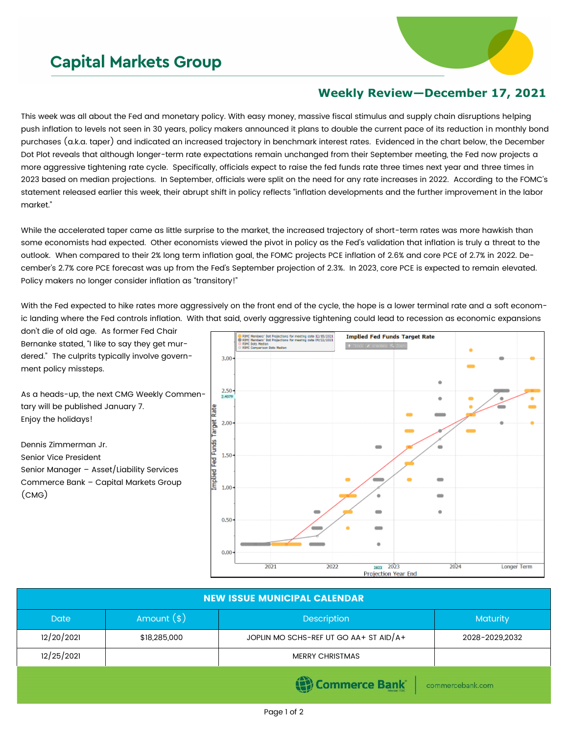## **Capital Markets Group**



## **Weekly Review—December 17, 2021**

This week was all about the Fed and monetary policy. With easy money, massive fiscal stimulus and supply chain disruptions helping push inflation to levels not seen in 30 years, policy makers announced it plans to double the current pace of its reduction in monthly bond purchases (a.k.a. taper) and indicated an increased trajectory in benchmark interest rates. Evidenced in the chart below, the December Dot Plot reveals that although longer-term rate expectations remain unchanged from their September meeting, the Fed now projects a more aggressive tightening rate cycle. Specifically, officials expect to raise the fed funds rate three times next year and three times in 2023 based on median projections. In September, officials were split on the need for any rate increases in 2022. According to the FOMC's statement released earlier this week, their abrupt shift in policy reflects "inflation developments and the further improvement in the labor market."

While the accelerated taper came as little surprise to the market, the increased trajectory of short-term rates was more hawkish than some economists had expected. Other economists viewed the pivot in policy as the Fed's validation that inflation is truly a threat to the outlook. When compared to their 2% long term inflation goal, the FOMC projects PCE inflation of 2.6% and core PCE of 2.7% in 2022. December's 2.7% core PCE forecast was up from the Fed's September projection of 2.3%. In 2023, core PCE is expected to remain elevated. Policy makers no longer consider inflation as "transitory!"

With the Fed expected to hike rates more aggressively on the front end of the cycle, the hope is a lower terminal rate and a soft economic landing where the Fed controls inflation. With that said, overly aggressive tightening could lead to recession as economic expansions

don't die of old age. As former Fed Chair Bernanke stated, "I like to say they get murdered." The culprits typically involve government policy missteps.

As a heads-up, the next CMG Weekly Commentary will be published January 7. Enjoy the holidays!

Dennis Zimmerman Jr. Senior Vice President Senior Manager – Asset/Liability Services Commerce Bank – Capital Markets Group (CMG)



| <b>NEW ISSUE MUNICIPAL CALENDAR</b>                                              |              |                                        |                |  |  |  |
|----------------------------------------------------------------------------------|--------------|----------------------------------------|----------------|--|--|--|
| <b>Date</b>                                                                      | Amount $(*)$ | <b>Description</b>                     | Maturity       |  |  |  |
| 12/20/2021                                                                       | \$18,285,000 | JOPLIN MO SCHS-REF UT GO AA+ ST AID/A+ | 2028-2029,2032 |  |  |  |
| 12/25/2021                                                                       |              | <b>MERRY CHRISTMAS</b>                 |                |  |  |  |
| $\mathbb{R}$ Commorce Raple<br>and the second contract of the seat of the second |              |                                        |                |  |  |  |